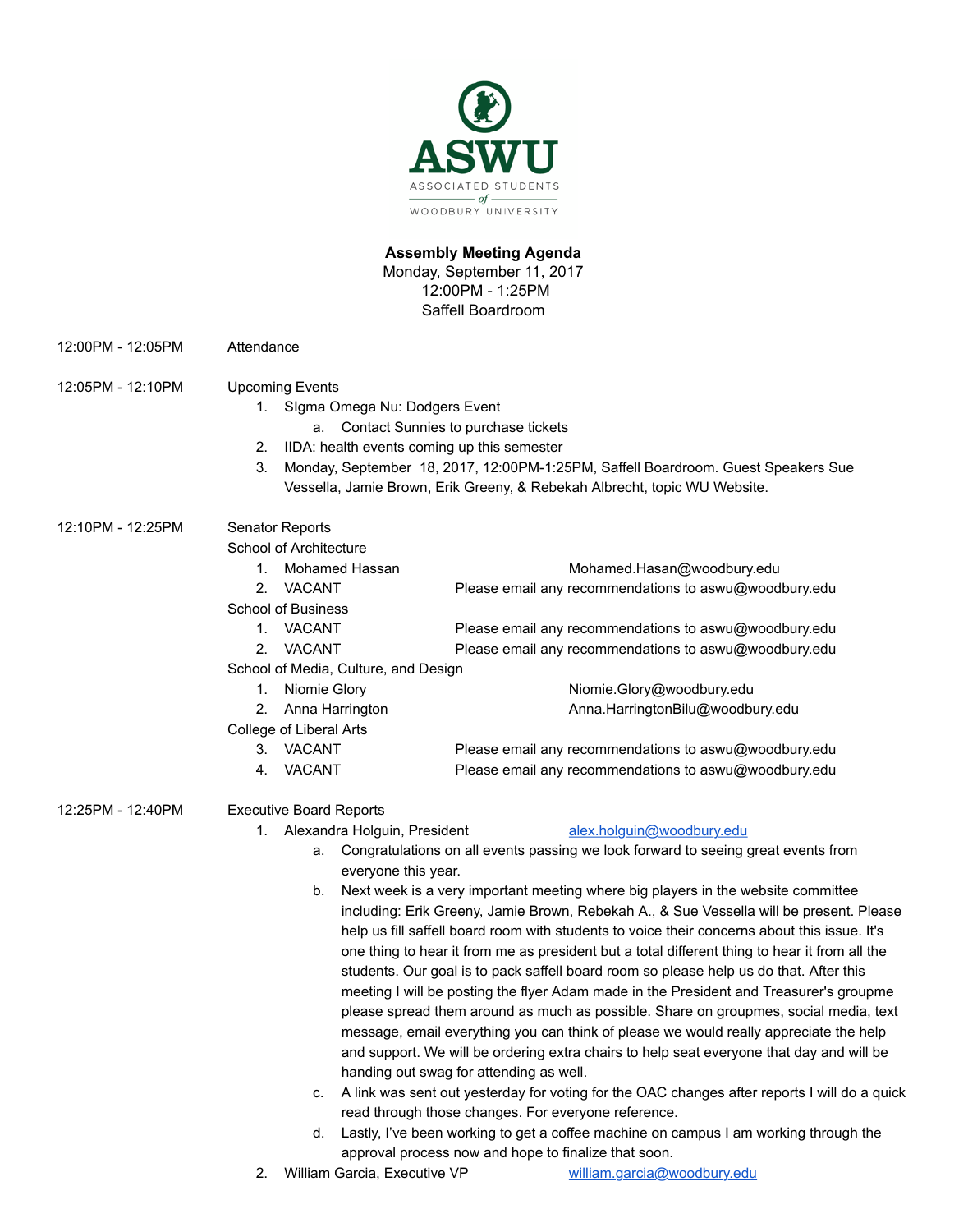

## **Assembly Meeting Agenda**

Monday, September 11, 2017 12:00PM - 1:25PM Saffell Boardroom

- 12:00PM 12:05PM Attendance
- 12:05PM 12:10PM Upcoming Events
	- 1. SIgma Omega Nu: Dodgers Event
		- a. Contact Sunnies to purchase tickets
	- 2. IIDA: health events coming up this semester
	- 3. Monday, September 18, 2017, 12:00PM-1:25PM, Saffell Boardroom. Guest Speakers Sue Vessella, Jamie Brown, Erik Greeny, & Rebekah Albrecht, topic WU Website.

# 12:10PM - 12:25PM Senator Reports

School of Architecture

|                                      | <b>Mohamed Hassan</b> | Mohamed.Hasan@woodbury.edu                            |
|--------------------------------------|-----------------------|-------------------------------------------------------|
| $2_{\cdot}$                          | <b>VACANT</b>         | Please email any recommendations to aswu@woodbury.edu |
| <b>School of Business</b>            |                       |                                                       |
| 1.                                   | <b>VACANT</b>         | Please email any recommendations to aswu@woodbury.edu |
| 2                                    | <b>VACANT</b>         | Please email any recommendations to aswu@woodbury.edu |
| School of Media, Culture, and Design |                       |                                                       |
| 1.                                   | Niomie Glory          | Niomie.Glory@woodbury.edu                             |
|                                      | 2. Anna Harrington    | Anna.HarringtonBilu@woodbury.edu                      |
| College of Liberal Arts              |                       |                                                       |
| 3.                                   | <b>VACANT</b>         | Please email any recommendations to aswu@woodbury.edu |
| 4.                                   | <b>VACANT</b>         | Please email any recommendations to aswu@woodbury.edu |
|                                      |                       |                                                       |
| <b>Executive Board Reports</b>       |                       |                                                       |
|                                      |                       |                                                       |

- 12:25PM 12:40PM
	- 1. Alexandra Holguin, President alex.holguin@woodbury.edu

- a. Congratulations on all events passing we look forward to seeing great events from everyone this year.
- b. Next week is a very important meeting where big players in the website committee including: Erik Greeny, Jamie Brown, Rebekah A., & Sue Vessella will be present. Please help us fill saffell board room with students to voice their concerns about this issue. It's one thing to hear it from me as president but a total different thing to hear it from all the students. Our goal is to pack saffell board room so please help us do that. After this meeting I will be posting the flyer Adam made in the President and Treasurer's groupme please spread them around as much as possible. Share on groupmes, social media, text message, email everything you can think of please we would really appreciate the help and support. We will be ordering extra chairs to help seat everyone that day and will be handing out swag for attending as well.
- c. A link was sent out yesterday for voting for the OAC changes after reports I will do a quick read through those changes. For everyone reference.
- d. Lastly, I've been working to get a coffee machine on campus I am working through the approval process now and hope to finalize that soon.
- 2. William Garcia, Executive VP william.garcia@woodbury.edu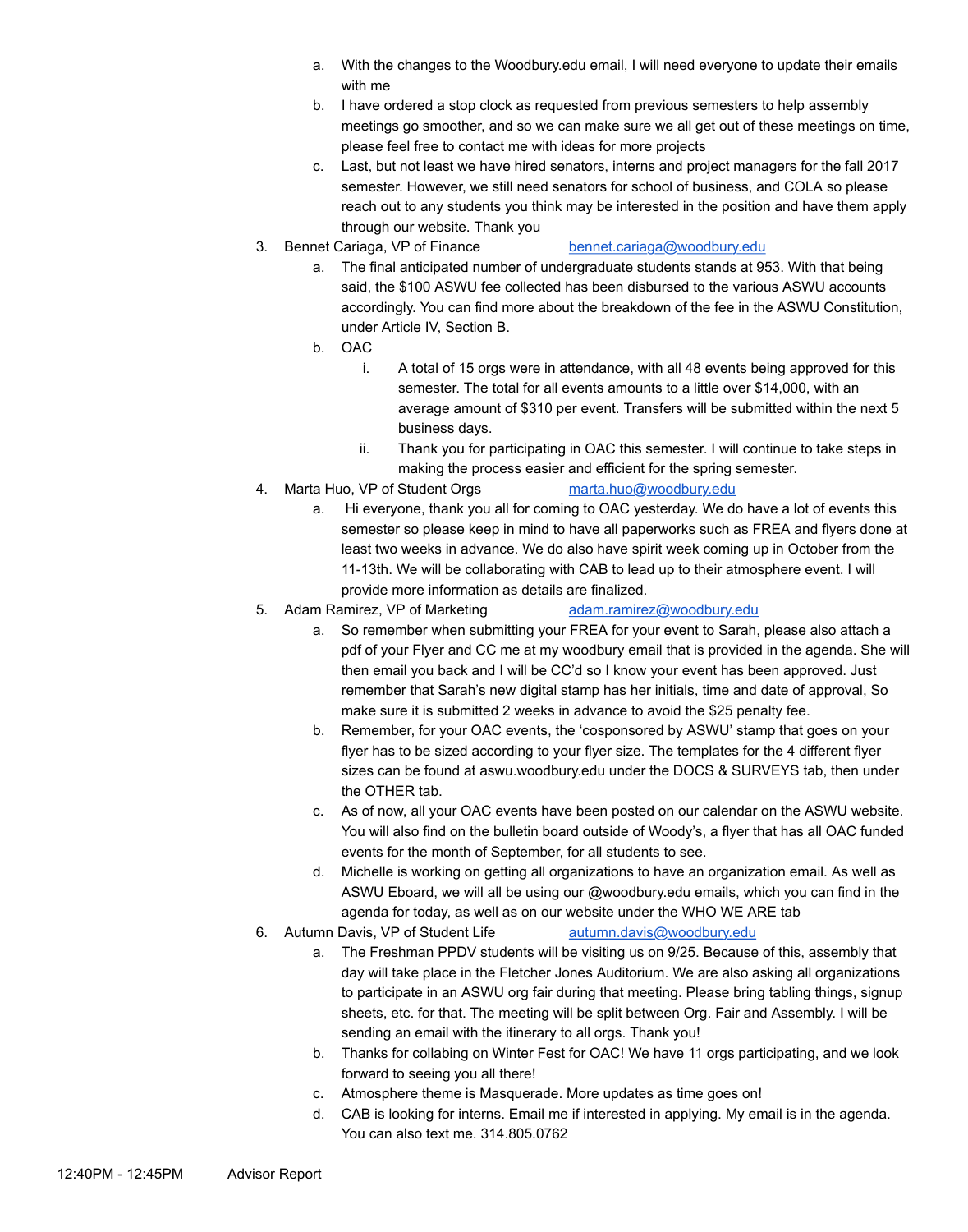- a. With the changes to the Woodbury.edu email, I will need everyone to update their emails with me
- b. I have ordered a stop clock as requested from previous semesters to help assembly meetings go smoother, and so we can make sure we all get out of these meetings on time, please feel free to contact me with ideas for more projects
- c. Last, but not least we have hired senators, interns and project managers for the fall 2017 semester. However, we still need senators for school of business, and COLA so please reach out to any students you think may be interested in the position and have them apply through our website. Thank you
- 3. Bennet Cariaga, VP of Finance bennet.cariaga@woodbury.edu

- a. The final anticipated number of undergraduate students stands at 953. With that being said, the \$100 ASWU fee collected has been disbursed to the various ASWU accounts accordingly. You can find more about the breakdown of the fee in the ASWU Constitution, under Article IV, Section B.
- b. OAC
	- i. A total of 15 orgs were in attendance, with all 48 events being approved for this semester. The total for all events amounts to a little over \$14,000, with an average amount of \$310 per event. Transfers will be submitted within the next 5 business days.
	- ii. Thank you for participating in OAC this semester. I will continue to take steps in making the process easier and efficient for the spring semester.
- 4. Marta Huo, VP of Student Orgs marta.huo@woodbury.edu
	- a. Hi everyone, thank you all for coming to OAC yesterday. We do have a lot of events this semester so please keep in mind to have all paperworks such as FREA and flyers done at least two weeks in advance. We do also have spirit week coming up in October from the 11-13th. We will be collaborating with CAB to lead up to their atmosphere event. I will provide more information as details are finalized.
- 5. Adam Ramirez, VP of Marketing adam.ramirez@woodbury.edu
	- a. So remember when submitting your FREA for your event to Sarah, please also attach a pdf of your Flyer and CC me at my woodbury email that is provided in the agenda. She will then email you back and I will be CC'd so I know your event has been approved. Just remember that Sarah's new digital stamp has her initials, time and date of approval, So make sure it is submitted 2 weeks in advance to avoid the \$25 penalty fee.
	- b. Remember, for your OAC events, the 'cosponsored by ASWU' stamp that goes on your flyer has to be sized according to your flyer size. The templates for the 4 different flyer sizes can be found at aswu.woodbury.edu under the DOCS & SURVEYS tab, then under the OTHER tab.
	- c. As of now, all your OAC events have been posted on our calendar on the ASWU website. You will also find on the bulletin board outside of Woody's, a flyer that has all OAC funded events for the month of September, for all students to see.
	- d. Michelle is working on getting all organizations to have an organization email. As well as ASWU Eboard, we will all be using our @woodbury.edu emails, which you can find in the agenda for today, as well as on our website under the WHO WE ARE tab
- 6. Autumn Davis, VP of Student Life autumn.davis@woodbury.edu
	- a. The Freshman PPDV students will be visiting us on 9/25. Because of this, assembly that day will take place in the Fletcher Jones Auditorium. We are also asking all organizations to participate in an ASWU org fair during that meeting. Please bring tabling things, signup sheets, etc. for that. The meeting will be split between Org. Fair and Assembly. I will be sending an email with the itinerary to all orgs. Thank you!
	- b. Thanks for collabing on Winter Fest for OAC! We have 11 orgs participating, and we look forward to seeing you all there!
	- c. Atmosphere theme is Masquerade. More updates as time goes on!
	- d. CAB is looking for interns. Email me if interested in applying. My email is in the agenda. You can also text me. 314.805.0762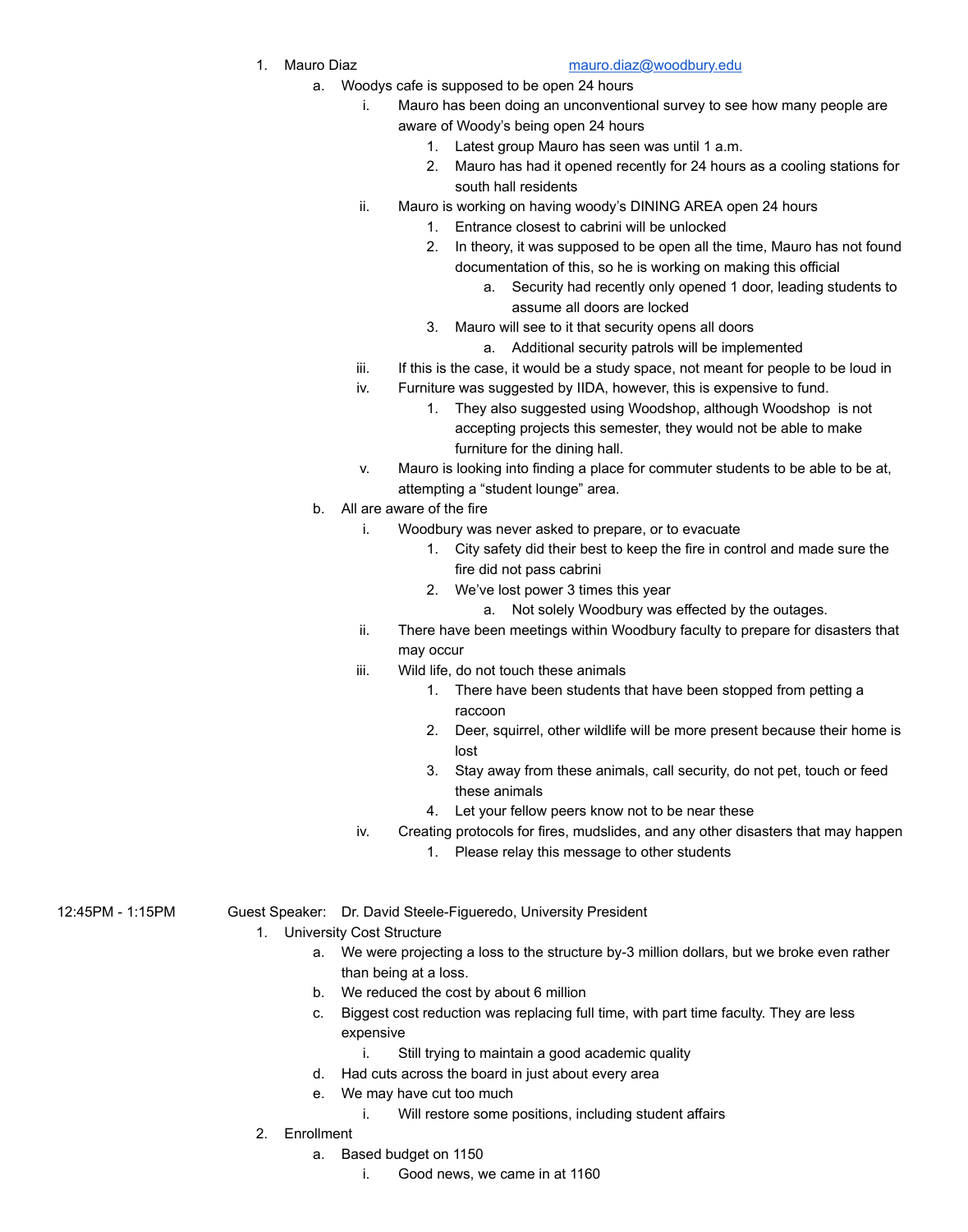## 1. Mauro Diaz mauro.diaz@woodbury.edu

- a. Woodys cafe is supposed to be open 24 hours
	- i. Mauro has been doing an unconventional survey to see how many people are aware of Woody's being open 24 hours
		- 1. Latest group Mauro has seen was until 1 a.m.
		- 2. Mauro has had it opened recently for 24 hours as a cooling stations for south hall residents
	- ii. Mauro is working on having woody's DINING AREA open 24 hours
		- 1. Entrance closest to cabrini will be unlocked
		- 2. In theory, it was supposed to be open all the time, Mauro has not found documentation of this, so he is working on making this official
			- a. Security had recently only opened 1 door, leading students to assume all doors are locked
		- 3. Mauro will see to it that security opens all doors
			- a. Additional security patrols will be implemented
	- iii. If this is the case, it would be a study space, not meant for people to be loud in
	- iv. Furniture was suggested by IIDA, however, this is expensive to fund.
		- 1. They also suggested using Woodshop, although Woodshop is not accepting projects this semester, they would not be able to make furniture for the dining hall.
	- v. Mauro is looking into finding a place for commuter students to be able to be at, attempting a "student lounge" area.
- b. All are aware of the fire
	- i. Woodbury was never asked to prepare, or to evacuate
		- 1. City safety did their best to keep the fire in control and made sure the fire did not pass cabrini
		- 2. We've lost power 3 times this year
			- a. Not solely Woodbury was effected by the outages.
	- ii. There have been meetings within Woodbury faculty to prepare for disasters that may occur
	- iii. Wild life, do not touch these animals
		- 1. There have been students that have been stopped from petting a raccoon
		- 2. Deer, squirrel, other wildlife will be more present because their home is lost
		- 3. Stay away from these animals, call security, do not pet, touch or feed these animals
		- 4. Let your fellow peers know not to be near these
	- iv. Creating protocols for fires, mudslides, and any other disasters that may happen
		- 1. Please relay this message to other students

## 12:45PM - 1:15PM Guest Speaker: Dr. David Steele-Figueredo, University President

- 1. University Cost Structure
	- a. We were projecting a loss to the structure by-3 million dollars, but we broke even rather than being at a loss.
	- b. We reduced the cost by about 6 million
	- c. Biggest cost reduction was replacing full time, with part time faculty. They are less expensive
		- i. Still trying to maintain a good academic quality
	- d. Had cuts across the board in just about every area
	- e. We may have cut too much
		- i. Will restore some positions, including student affairs
- 2. Enrollment
	- a. Based budget on 1150
		- i. Good news, we came in at 1160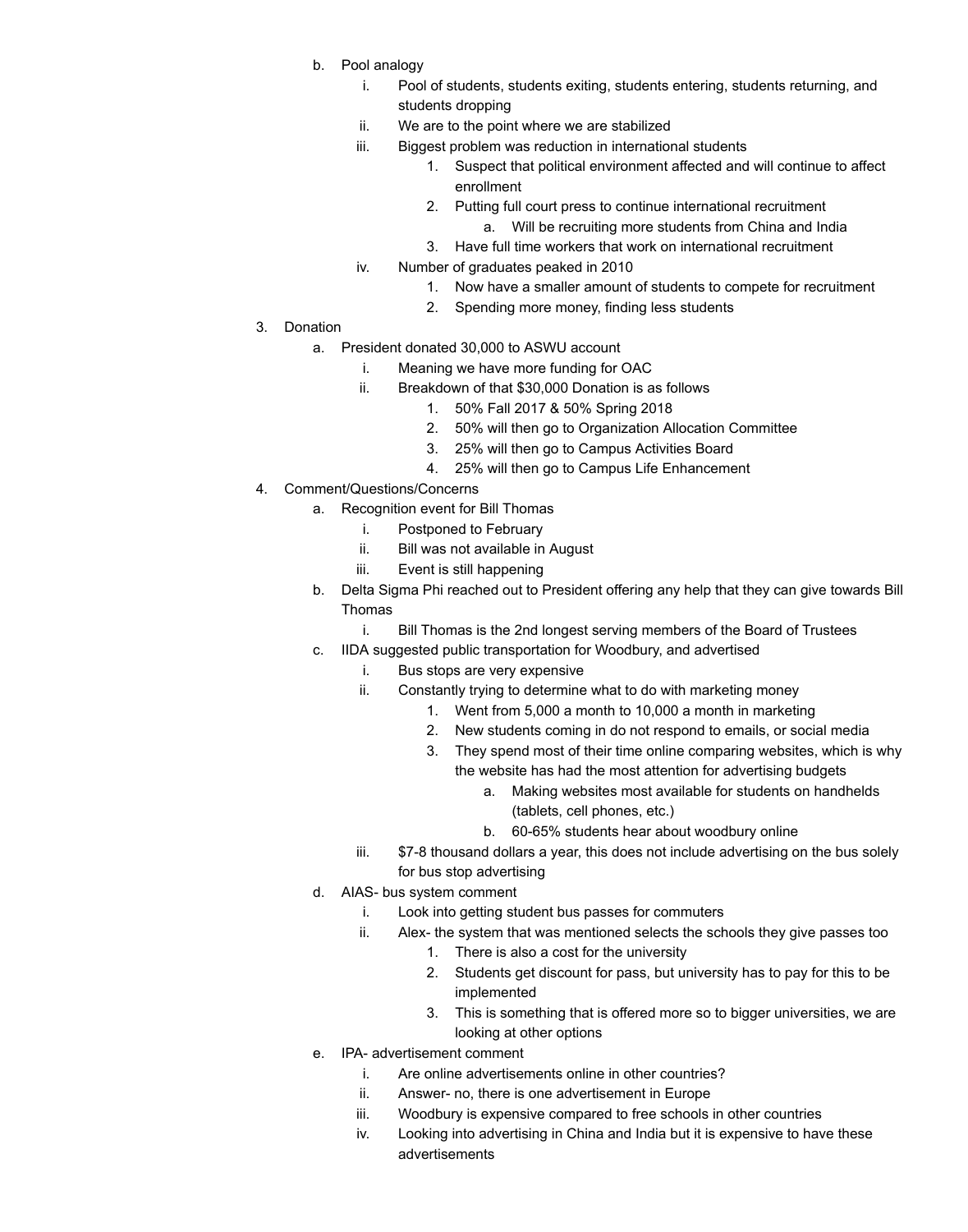- b. Pool analogy
	- i. Pool of students, students exiting, students entering, students returning, and students dropping
	- ii. We are to the point where we are stabilized
	- iii. Biggest problem was reduction in international students
		- 1. Suspect that political environment affected and will continue to affect enrollment
		- 2. Putting full court press to continue international recruitment a. Will be recruiting more students from China and India
		- 3. Have full time workers that work on international recruitment
	- iv. Number of graduates peaked in 2010
		- 1. Now have a smaller amount of students to compete for recruitment
		- 2. Spending more money, finding less students
- 3. Donation
	- a. President donated 30,000 to ASWU account
		- i. Meaning we have more funding for OAC
		- ii. Breakdown of that \$30,000 Donation is as follows
			- 1. 50% Fall 2017 & 50% Spring 2018
			- 2. 50% will then go to Organization Allocation Committee
			- 3. 25% will then go to Campus Activities Board
			- 4. 25% will then go to Campus Life Enhancement
- 4. Comment/Questions/Concerns
	- a. Recognition event for Bill Thomas
		- i. Postponed to February
		- ii. Bill was not available in August
		- iii. Event is still happening
	- b. Delta Sigma Phi reached out to President offering any help that they can give towards Bill Thomas
		- i. Bill Thomas is the 2nd longest serving members of the Board of Trustees
	- c. IIDA suggested public transportation for Woodbury, and advertised
		- i. Bus stops are very expensive
		- ii. Constantly trying to determine what to do with marketing money
			- 1. Went from 5,000 a month to 10,000 a month in marketing
			- 2. New students coming in do not respond to emails, or social media
			- 3. They spend most of their time online comparing websites, which is why the website has had the most attention for advertising budgets
				- a. Making websites most available for students on handhelds (tablets, cell phones, etc.)
					- b. 60-65% students hear about woodbury online
		- iii.  $$7-8$  thousand dollars a year, this does not include advertising on the bus solely for bus stop advertising
	- d. AIAS- bus system comment
		- i. Look into getting student bus passes for commuters
		- ii. Alex- the system that was mentioned selects the schools they give passes too
			- 1. There is also a cost for the university
			- 2. Students get discount for pass, but university has to pay for this to be implemented
			- 3. This is something that is offered more so to bigger universities, we are looking at other options
	- e. IPA- advertisement comment
		- i. Are online advertisements online in other countries?
		- ii. Answer- no, there is one advertisement in Europe
		- iii. Woodbury is expensive compared to free schools in other countries
		- iv. Looking into advertising in China and India but it is expensive to have these advertisements